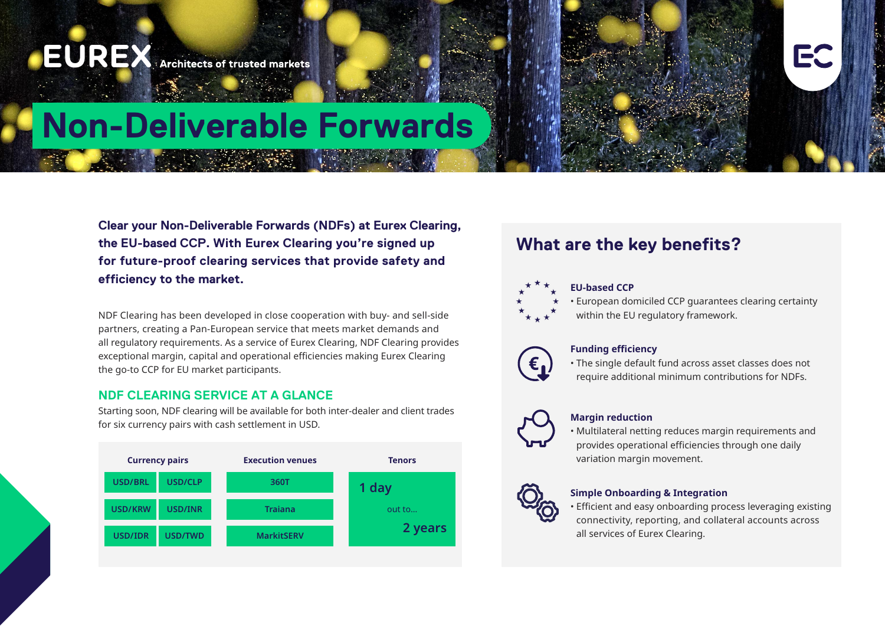

**Clear your Non-Deliverable Forwards (NDFs) at Eurex Clearing, the EU-based CCP. With Eurex Clearing you're signed up for future-proof clearing services that provide safety and efficiency to the market.**

NDF Clearing has been developed in close cooperation with buy- and sell-side partners, creating a Pan-European service that meets market demands and all regulatory requirements. As a service of Eurex Clearing, NDF Clearing provides exceptional margin, capital and operational efficiencies making Eurex Clearing the go-to CCP for EU market participants.

## **NDF CLEARING SERVICE AT A GLANCE**

Starting soon, NDF clearing will be available for both inter-dealer and client trades for six currency pairs with cash settlement in USD.



# **What are the key benefits?**

## **EU-based CCP**

• European domiciled CCP guarantees clearing certainty

within the EU regulatory framework.



## **Funding efficiency**

• The single default fund across asset classes does not require additional minimum contributions for NDFs.



## **Margin reduction**

• Multilateral netting reduces margin requirements and provides operational efficiencies through one daily variation margin movement.

## **Simple Onboarding & Integration**

• Efficient and easy onboarding process leveraging existing connectivity, reporting, and collateral accounts across all services of Eurex Clearing.